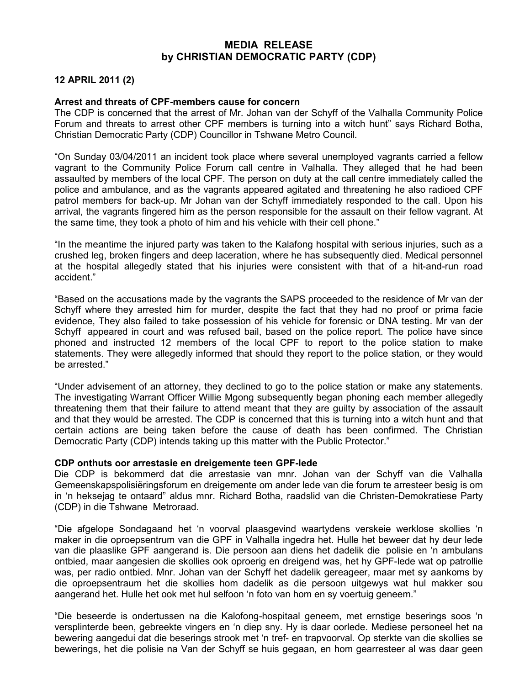## MEDIA RELEASE by CHRISTIAN DEMOCRATIC PARTY (CDP)

## 12 APRIL 2011 (2)

## Arrest and threats of CPF-members cause for concern

The CDP is concerned that the arrest of Mr. Johan van der Schyff of the Valhalla Community Police Forum and threats to arrest other CPF members is turning into a witch hunt" says Richard Botha, Christian Democratic Party (CDP) Councillor in Tshwane Metro Council.

"On Sunday 03/04/2011 an incident took place where several unemployed vagrants carried a fellow vagrant to the Community Police Forum call centre in Valhalla. They alleged that he had been assaulted by members of the local CPF. The person on duty at the call centre immediately called the police and ambulance, and as the vagrants appeared agitated and threatening he also radioed CPF patrol members for back-up. Mr Johan van der Schyff immediately responded to the call. Upon his arrival, the vagrants fingered him as the person responsible for the assault on their fellow vagrant. At the same time, they took a photo of him and his vehicle with their cell phone."

"In the meantime the injured party was taken to the Kalafong hospital with serious injuries, such as a crushed leg, broken fingers and deep laceration, where he has subsequently died. Medical personnel at the hospital allegedly stated that his injuries were consistent with that of a hit-and-run road accident."

"Based on the accusations made by the vagrants the SAPS proceeded to the residence of Mr van der Schyff where they arrested him for murder, despite the fact that they had no proof or prima facie evidence, They also failed to take possession of his vehicle for forensic or DNA testing. Mr van der Schyff appeared in court and was refused bail, based on the police report. The police have since phoned and instructed 12 members of the local CPF to report to the police station to make statements. They were allegedly informed that should they report to the police station, or they would be arrested."

"Under advisement of an attorney, they declined to go to the police station or make any statements. The investigating Warrant Officer Willie Mgong subsequently began phoning each member allegedly threatening them that their failure to attend meant that they are guilty by association of the assault and that they would be arrested. The CDP is concerned that this is turning into a witch hunt and that certain actions are being taken before the cause of death has been confirmed. The Christian Democratic Party (CDP) intends taking up this matter with the Public Protector."

## CDP onthuts oor arrestasie en dreigemente teen GPF-lede

Die CDP is bekommerd dat die arrestasie van mnr. Johan van der Schyff van die Valhalla Gemeenskapspolisiëringsforum en dreigemente om ander lede van die forum te arresteer besig is om in 'n heksejag te ontaard" aldus mnr. Richard Botha, raadslid van die Christen-Demokratiese Party (CDP) in die Tshwane Metroraad.

"Die afgelope Sondagaand het 'n voorval plaasgevind waartydens verskeie werklose skollies 'n maker in die oproepsentrum van die GPF in Valhalla ingedra het. Hulle het beweer dat hy deur lede van die plaaslike GPF aangerand is. Die persoon aan diens het dadelik die polisie en 'n ambulans ontbied, maar aangesien die skollies ook oproerig en dreigend was, het hy GPF-lede wat op patrollie was, per radio ontbied. Mnr. Johan van der Schyff het dadelik gereageer, maar met sy aankoms by die oproepsentraum het die skollies hom dadelik as die persoon uitgewys wat hul makker sou aangerand het. Hulle het ook met hul selfoon 'n foto van hom en sy voertuig geneem."

"Die beseerde is ondertussen na die Kalofong-hospitaal geneem, met ernstige beserings soos 'n versplinterde been, gebreekte vingers en 'n diep sny. Hy is daar oorlede. Mediese personeel het na bewering aangedui dat die beserings strook met 'n tref- en trapvoorval. Op sterkte van die skollies se bewerings, het die polisie na Van der Schyff se huis gegaan, en hom gearresteer al was daar geen